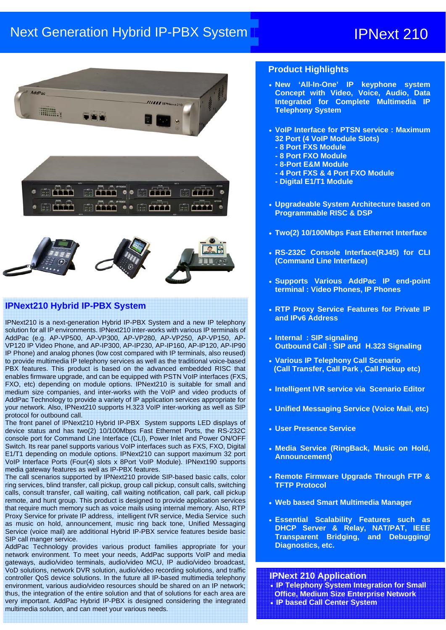# Next Generation Hybrid IP-PBX System ID Next 210





### **IPNext210 Hybrid IP-PBX System**

IPNext210 is a next-generation Hybrid IP-PBX System and a new IP telephony solution for all IP environments. IPNext210 inter-works with various IP terminals of AddPac (e.g. AP-VP500, AP-VP300, AP-VP280, AP-VP250, AP-VP150, AP-VP120 IP Video Phone, and AP-IP300, AP-IP230, AP-IP160, AP-IP120, AP-IP90 IP Phone) and analog phones (low cost compared with IP terminals, also reused) to provide multimedia IP telephony services as well as the traditional voice-based PBX features. This product is based on the advanced embedded RISC that enables firmware upgrade, and can be equipped with PSTN VoIP interfaces (FXS, FXO, etc) depending on module options. IPNext210 is suitable for small and medium size companies, and inter-works with the VoIP and video products of AddPac Technology to provide a variety of IP application services appropriate for your network. Also, IPNext210 supports H.323 VoIP inter-working as well as SIP protocol for outbound call.

The front panel of IPNext210 Hybrid IP-PBX System supports LED displays of device status and has two(2) 10/100Mbps Fast Ethernet Ports, the RS-232C console port for Command Line Interface (CLI), Power Inlet and Power ON/OFF Switch. Its rear panel supports various VoIP interfaces such as FXS, FXO, Digital E1/T1 depending on module options. IPNext210 can support maximum 32 port VoIP Interface Ports (Four(4) slots x 8Port VoIP Module). IPNext190 supports media gateway features as well as IP-PBX features.

The call scenarios supported by IPNext210 provide SIP-based basic calls, color ring services, blind transfer, call pickup, group call pickup, consult calls, switching calls, consult transfer, call waiting, call waiting notification, call park, call pickup remote, and hunt group. This product is designed to provide application services that require much memory such as voice mails using internal memory. Also, RTP Proxy Service for private IP address, intelligent IVR service, Media Service such as music on hold, announcement, music ring back tone, Unified Messaging Service (voice mail) are additional Hybrid IP-PBX service features beside basic SIP call manger service.

AddPac Technology provides various product families appropriate for your network environment. To meet your needs, AddPac supports VoIP and media gateways, audio/video terminals, audio/video MCU, IP audio/video broadcast, VoD solutions, network DVR solution, audio/video recording solutions, and traffic controller QoS device solutions. In the future all IP-based multimedia telephony environment, various audio/video resources should be shared on an IP network; thus, the integration of the entire solution and that of solutions for each area are very important. AddPac Hybrid IP-PBX is designed considering the integrated multimedia solution, and can meet your various needs.

#### **Product Highlights**

- **New 'All-In-One' IP keyphone system Concept with Video, Voice, Audio, Data Integrated for Complete Multimedia IP Telephony System**
- **VoIP Interface for PTSN service : Maximum 32 Port (4 VoIP Module Slots)**
	- **8 Port FXS Module**
	- **8 Port FXO Module**
	- **8-Port E&M Module**
	- **4 Port FXS & 4 Port FXO Module**
	- **Digital E1/T1 Module**
- **Upgradeable System Architecture based on Programmable RISC & DSP**
- **Two(2) 10/100Mbps Fast Ethernet Interface**
- **RS-232C Console Interface(RJ45) for CLI (Command Line Interface)**
- **Supports Various AddPac IP end-point terminal : Video Phones, IP Phones**
- **RTP Proxy Service Features for Private IP and IPv6 Address**
- **Internal : SIP signaling Outbound Call : SIP and H.323 Signaling**
- **Various IP Telephony Call Scenario (Call Transfer, Call Park , Call Pickup etc)**
- **Intelligent IVR service via Scenario Editor**
- **Unified Messaging Service (Voice Mail, etc)**
- **User Presence Service**
- **Media Service (RingBack, Music on Hold, Announcement)**
- **Remote Firmware Upgrade Through FTP & TFTP Protocol**
- **Web based Smart Multimedia Manager**
- **Essential Scalability Features such as DHCP Server & Relay, NAT/PAT, IEEE Transparent Bridging, and Debugging/ Diagnostics, etc.**

**IPNext 210 Application** • **IP Telephony System Integration for Small Office, Medium Size Enterprise Network**  • **IP based Call Center System**